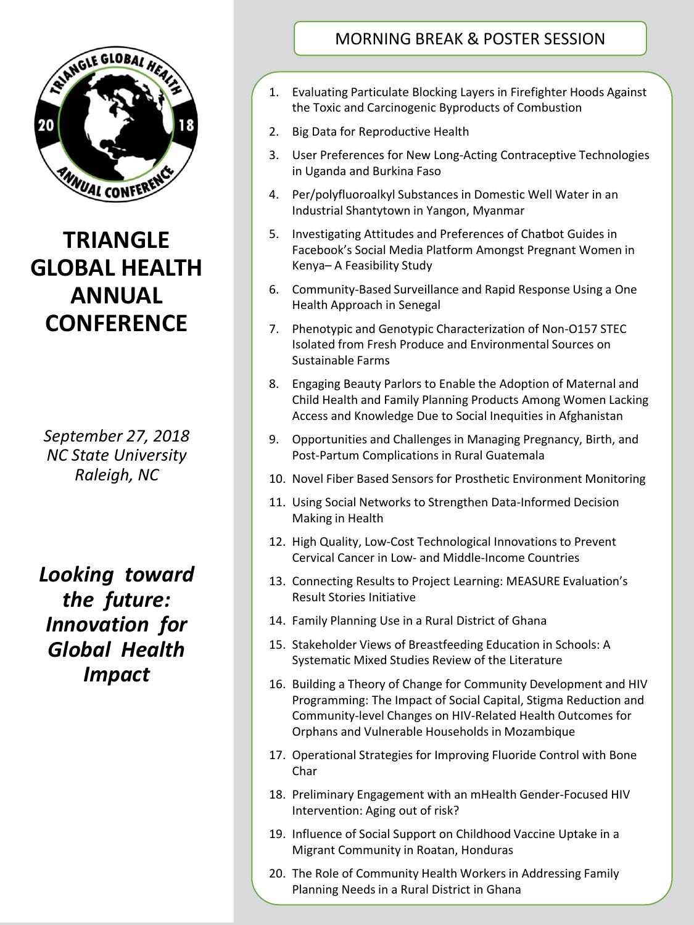

## **TRIANGLE GLOBAL HEALTH ANNUAL CONFERENCE**

*September 27, 2018 NC State University Raleigh, NC*

*Looking toward the future: Innovation for Global Health Impact*

## MORNING BREAK & POSTER SESSION

- 1. Evaluating Particulate Blocking Layers in Firefighter Hoods Against the Toxic and Carcinogenic Byproducts of Combustion
- 2. Big Data for Reproductive Health
- 3. User Preferences for New Long-Acting Contraceptive Technologies in Uganda and Burkina Faso
- 4. Per/polyfluoroalkyl Substances in Domestic Well Water in an Industrial Shantytown in Yangon, Myanmar
- 5. Investigating Attitudes and Preferences of Chatbot Guides in Facebook's Social Media Platform Amongst Pregnant Women in Kenya– A Feasibility Study
- 6. Community-Based Surveillance and Rapid Response Using a One Health Approach in Senegal
- 7. Phenotypic and Genotypic Characterization of Non-O157 STEC Isolated from Fresh Produce and Environmental Sources on Sustainable Farms
- 8. Engaging Beauty Parlors to Enable the Adoption of Maternal and Child Health and Family Planning Products Among Women Lacking Access and Knowledge Due to Social Inequities in Afghanistan
- 9. Opportunities and Challenges in Managing Pregnancy, Birth, and Post-Partum Complications in Rural Guatemala
- 10. Novel Fiber Based Sensors for Prosthetic Environment Monitoring
- 11. Using Social Networks to Strengthen Data-Informed Decision Making in Health
- 12. High Quality, Low-Cost Technological Innovations to Prevent Cervical Cancer in Low- and Middle-Income Countries
- 13. Connecting Results to Project Learning: MEASURE Evaluation's Result Stories Initiative
- 14. Family Planning Use in a Rural District of Ghana
- 15. Stakeholder Views of Breastfeeding Education in Schools: A Systematic Mixed Studies Review of the Literature
- 16. Building a Theory of Change for Community Development and HIV Programming: The Impact of Social Capital, Stigma Reduction and Community-level Changes on HIV-Related Health Outcomes for Orphans and Vulnerable Households in Mozambique
- 17. Operational Strategies for Improving Fluoride Control with Bone Char
- 18. Preliminary Engagement with an mHealth Gender-Focused HIV Intervention: Aging out of risk?
- 19. Influence of Social Support on Childhood Vaccine Uptake in a Migrant Community in Roatan, Honduras
- 20. The Role of Community Health Workers in Addressing Family Planning Needs in a Rural District in Ghana